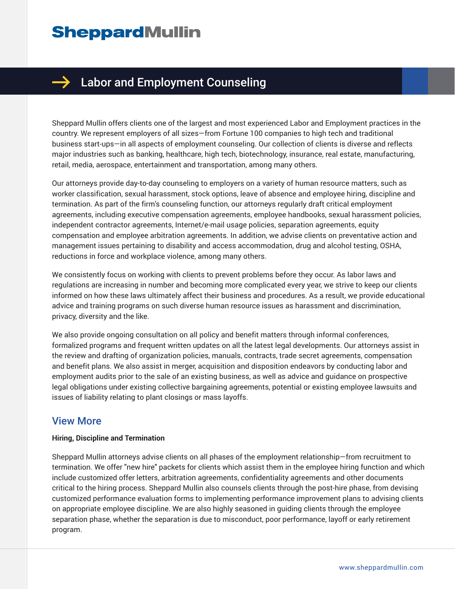# **SheppardMullin**



### $\rightarrow$  Labor and Employment Counseling

Sheppard Mullin offers clients one of the largest and most experienced Labor and Employment practices in the country. We represent employers of all sizes—from Fortune 100 companies to high tech and traditional business start-ups—in all aspects of employment counseling. Our collection of clients is diverse and reflects major industries such as banking, healthcare, high tech, biotechnology, insurance, real estate, manufacturing, retail, media, aerospace, entertainment and transportation, among many others.

Our attorneys provide day-to-day counseling to employers on a variety of human resource matters, such as worker classification, sexual harassment, stock options, leave of absence and employee hiring, discipline and termination. As part of the firm's counseling function, our attorneys regularly draft critical employment agreements, including executive compensation agreements, employee handbooks, sexual harassment policies, independent contractor agreements, Internet/e-mail usage policies, separation agreements, equity compensation and employee arbitration agreements. In addition, we advise clients on preventative action and management issues pertaining to disability and access accommodation, drug and alcohol testing, OSHA, reductions in force and workplace violence, among many others.

We consistently focus on working with clients to prevent problems before they occur. As labor laws and regulations are increasing in number and becoming more complicated every year, we strive to keep our clients informed on how these laws ultimately affect their business and procedures. As a result, we provide educational advice and training programs on such diverse human resource issues as harassment and discrimination, privacy, diversity and the like.

We also provide ongoing consultation on all policy and benefit matters through informal conferences, formalized programs and frequent written updates on all the latest legal developments. Our attorneys assist in the review and drafting of organization policies, manuals, contracts, trade secret agreements, compensation and benefit plans. We also assist in merger, acquisition and disposition endeavors by conducting labor and employment audits prior to the sale of an existing business, as well as advice and guidance on prospective legal obligations under existing collective bargaining agreements, potential or existing employee lawsuits and issues of liability relating to plant closings or mass layoffs.

### View More

#### **Hiring, Discipline and Termination**

Sheppard Mullin attorneys advise clients on all phases of the employment relationship—from recruitment to termination. We offer "new hire" packets for clients which assist them in the employee hiring function and which include customized offer letters, arbitration agreements, confidentiality agreements and other documents critical to the hiring process. Sheppard Mullin also counsels clients through the post-hire phase, from devising customized performance evaluation forms to implementing performance improvement plans to advising clients on appropriate employee discipline. We are also highly seasoned in guiding clients through the employee separation phase, whether the separation is due to misconduct, poor performance, layoff or early retirement program.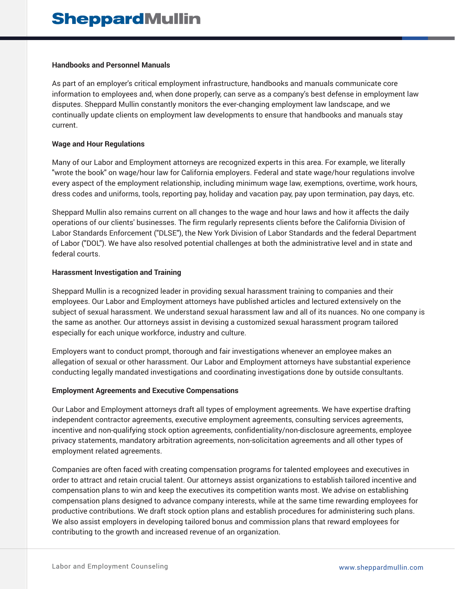#### **Handbooks and Personnel Manuals**

As part of an employer's critical employment infrastructure, handbooks and manuals communicate core information to employees and, when done properly, can serve as a company's best defense in employment law disputes. Sheppard Mullin constantly monitors the ever-changing employment law landscape, and we continually update clients on employment law developments to ensure that handbooks and manuals stay current.

#### **Wage and Hour Regulations**

Many of our Labor and Employment attorneys are recognized experts in this area. For example, we literally "wrote the book" on wage/hour law for California employers. Federal and state wage/hour regulations involve every aspect of the employment relationship, including minimum wage law, exemptions, overtime, work hours, dress codes and uniforms, tools, reporting pay, holiday and vacation pay, pay upon termination, pay days, etc.

Sheppard Mullin also remains current on all changes to the wage and hour laws and how it affects the daily operations of our clients' businesses. The firm regularly represents clients before the California Division of Labor Standards Enforcement ("DLSE"), the New York Division of Labor Standards and the federal Department of Labor ("DOL"). We have also resolved potential challenges at both the administrative level and in state and federal courts.

#### **Harassment Investigation and Training**

Sheppard Mullin is a recognized leader in providing sexual harassment training to companies and their employees. Our Labor and Employment attorneys have published articles and lectured extensively on the subject of sexual harassment. We understand sexual harassment law and all of its nuances. No one company is the same as another. Our attorneys assist in devising a customized sexual harassment program tailored especially for each unique workforce, industry and culture.

Employers want to conduct prompt, thorough and fair investigations whenever an employee makes an allegation of sexual or other harassment. Our Labor and Employment attorneys have substantial experience conducting legally mandated investigations and coordinating investigations done by outside consultants.

#### **Employment Agreements and Executive Compensations**

Our Labor and Employment attorneys draft all types of employment agreements. We have expertise drafting independent contractor agreements, executive employment agreements, consulting services agreements, incentive and non-qualifying stock option agreements, confidentiality/non-disclosure agreements, employee privacy statements, mandatory arbitration agreements, non-solicitation agreements and all other types of employment related agreements.

Companies are often faced with creating compensation programs for talented employees and executives in order to attract and retain crucial talent. Our attorneys assist organizations to establish tailored incentive and compensation plans to win and keep the executives its competition wants most. We advise on establishing compensation plans designed to advance company interests, while at the same time rewarding employees for productive contributions. We draft stock option plans and establish procedures for administering such plans. We also assist employers in developing tailored bonus and commission plans that reward employees for contributing to the growth and increased revenue of an organization.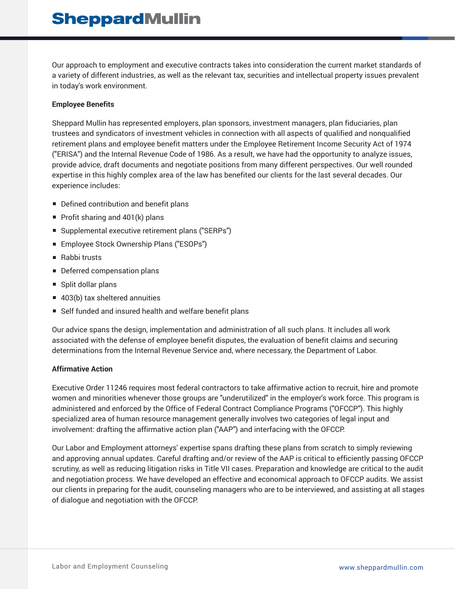## **SheppardMullin**

Our approach to employment and executive contracts takes into consideration the current market standards of a variety of different industries, as well as the relevant tax, securities and intellectual property issues prevalent in today's work environment.

#### **Employee Benefits**

Sheppard Mullin has represented employers, plan sponsors, investment managers, plan fiduciaries, plan trustees and syndicators of investment vehicles in connection with all aspects of qualified and nonqualified retirement plans and employee benefit matters under the Employee Retirement Income Security Act of 1974 ("ERISA") and the Internal Revenue Code of 1986. As a result, we have had the opportunity to analyze issues, provide advice, draft documents and negotiate positions from many different perspectives. Our well rounded expertise in this highly complex area of the law has benefited our clients for the last several decades. Our experience includes:

- Defined contribution and benefit plans
- Profit sharing and 401(k) plans
- Supplemental executive retirement plans ("SERPs")
- Employee Stock Ownership Plans ("ESOPs")
- Rabbi trusts
- Deferred compensation plans
- Split dollar plans
- 403(b) tax sheltered annuities
- Self funded and insured health and welfare benefit plans

Our advice spans the design, implementation and administration of all such plans. It includes all work associated with the defense of employee benefit disputes, the evaluation of benefit claims and securing determinations from the Internal Revenue Service and, where necessary, the Department of Labor.

#### **Affirmative Action**

Executive Order 11246 requires most federal contractors to take affirmative action to recruit, hire and promote women and minorities whenever those groups are "underutilized" in the employer's work force. This program is administered and enforced by the Office of Federal Contract Compliance Programs ("OFCCP"). This highly specialized area of human resource management generally involves two categories of legal input and involvement: drafting the affirmative action plan ("AAP") and interfacing with the OFCCP.

Our Labor and Employment attorneys' expertise spans drafting these plans from scratch to simply reviewing and approving annual updates. Careful drafting and/or review of the AAP is critical to efficiently passing OFCCP scrutiny, as well as reducing litigation risks in Title VII cases. Preparation and knowledge are critical to the audit and negotiation process. We have developed an effective and economical approach to OFCCP audits. We assist our clients in preparing for the audit, counseling managers who are to be interviewed, and assisting at all stages of dialogue and negotiation with the OFCCP.